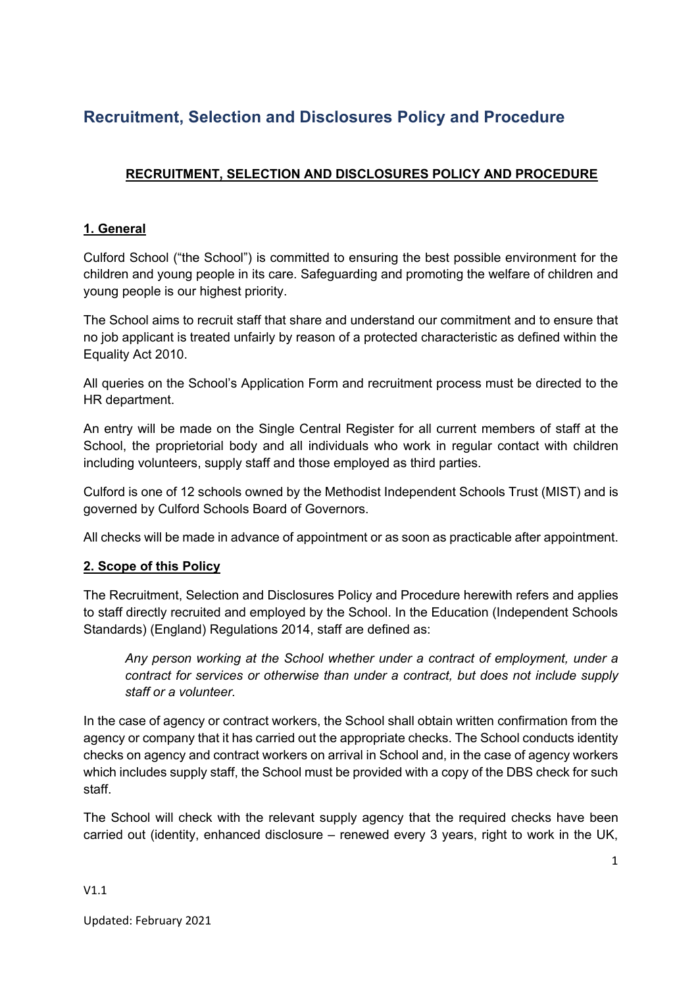### **RECRUITMENT, SELECTION AND DISCLOSURES POLICY AND PROCEDURE**

### **1. General**

Culford School ("the School") is committed to ensuring the best possible environment for the children and young people in its care. Safeguarding and promoting the welfare of children and young people is our highest priority.

The School aims to recruit staff that share and understand our commitment and to ensure that no job applicant is treated unfairly by reason of a protected characteristic as defined within the Equality Act 2010.

All queries on the School's Application Form and recruitment process must be directed to the HR department.

An entry will be made on the Single Central Register for all current members of staff at the School, the proprietorial body and all individuals who work in regular contact with children including volunteers, supply staff and those employed as third parties.

Culford is one of 12 schools owned by the Methodist Independent Schools Trust (MIST) and is governed by Culford Schools Board of Governors.

All checks will be made in advance of appointment or as soon as practicable after appointment.

### **2. Scope of this Policy**

The Recruitment, Selection and Disclosures Policy and Procedure herewith refers and applies to staff directly recruited and employed by the School. In the Education (Independent Schools Standards) (England) Regulations 2014, staff are defined as:

*Any person working at the School whether under a contract of employment, under a contract for services or otherwise than under a contract, but does not include supply staff or a volunteer.*

In the case of agency or contract workers, the School shall obtain written confirmation from the agency or company that it has carried out the appropriate checks. The School conducts identity checks on agency and contract workers on arrival in School and, in the case of agency workers which includes supply staff, the School must be provided with a copy of the DBS check for such staff.

The School will check with the relevant supply agency that the required checks have been carried out (identity, enhanced disclosure – renewed every 3 years, right to work in the UK,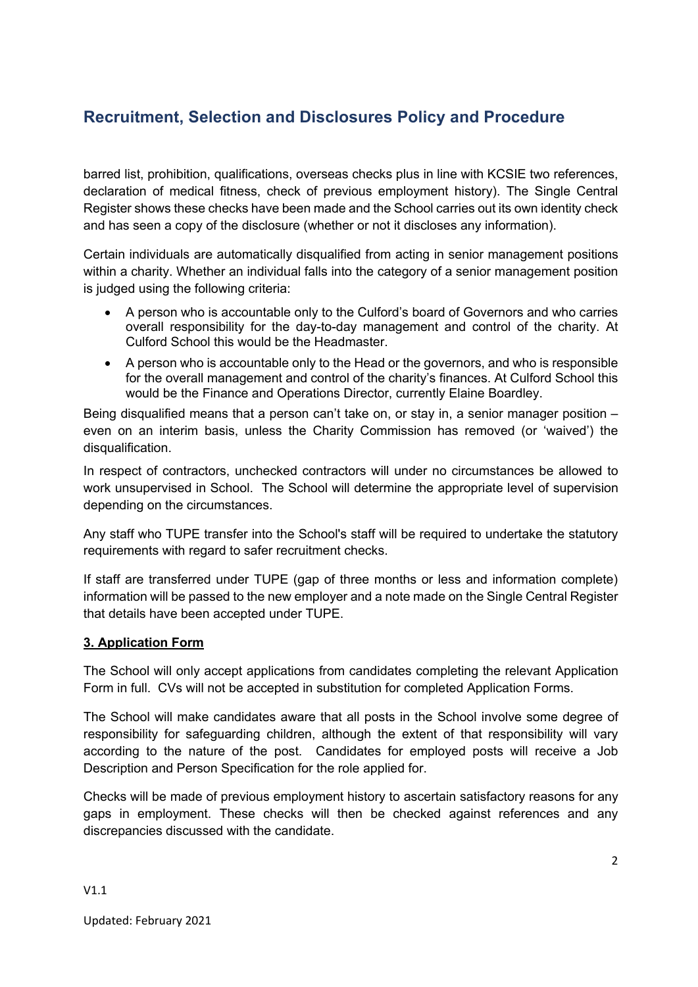barred list, prohibition, qualifications, overseas checks plus in line with KCSIE two references, declaration of medical fitness, check of previous employment history). The Single Central Register shows these checks have been made and the School carries out its own identity check and has seen a copy of the disclosure (whether or not it discloses any information).

Certain individuals are automatically disqualified from acting in senior management positions within a charity. Whether an individual falls into the category of a senior management position is judged using the following criteria:

- A person who is accountable only to the Culford's board of Governors and who carries overall responsibility for the day-to-day management and control of the charity. At Culford School this would be the Headmaster.
- A person who is accountable only to the Head or the governors, and who is responsible for the overall management and control of the charity's finances. At Culford School this would be the Finance and Operations Director, currently Elaine Boardley.

Being disqualified means that a person can't take on, or stay in, a senior manager position – even on an interim basis, unless the Charity Commission has removed (or 'waived') the disqualification.

In respect of contractors, unchecked contractors will under no circumstances be allowed to work unsupervised in School. The School will determine the appropriate level of supervision depending on the circumstances.

Any staff who TUPE transfer into the School's staff will be required to undertake the statutory requirements with regard to safer recruitment checks.

If staff are transferred under TUPE (gap of three months or less and information complete) information will be passed to the new employer and a note made on the Single Central Register that details have been accepted under TUPE.

### **3. Application Form**

The School will only accept applications from candidates completing the relevant Application Form in full. CVs will not be accepted in substitution for completed Application Forms.

The School will make candidates aware that all posts in the School involve some degree of responsibility for safeguarding children, although the extent of that responsibility will vary according to the nature of the post. Candidates for employed posts will receive a Job Description and Person Specification for the role applied for.

Checks will be made of previous employment history to ascertain satisfactory reasons for any gaps in employment. These checks will then be checked against references and any discrepancies discussed with the candidate.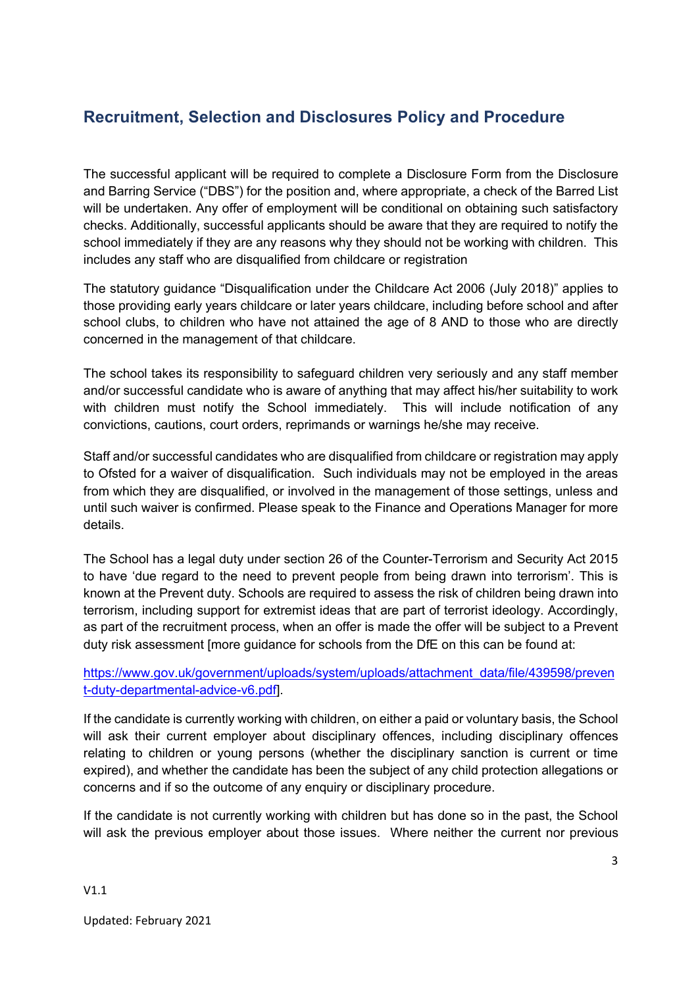The successful applicant will be required to complete a Disclosure Form from the Disclosure and Barring Service ("DBS") for the position and, where appropriate, a check of the Barred List will be undertaken. Any offer of employment will be conditional on obtaining such satisfactory checks. Additionally, successful applicants should be aware that they are required to notify the school immediately if they are any reasons why they should not be working with children. This includes any staff who are disqualified from childcare or registration

The statutory guidance "Disqualification under the Childcare Act 2006 (July 2018)" applies to those providing early years childcare or later years childcare, including before school and after school clubs, to children who have not attained the age of 8 AND to those who are directly concerned in the management of that childcare.

The school takes its responsibility to safeguard children very seriously and any staff member and/or successful candidate who is aware of anything that may affect his/her suitability to work with children must notify the School immediately. This will include notification of any convictions, cautions, court orders, reprimands or warnings he/she may receive.

Staff and/or successful candidates who are disqualified from childcare or registration may apply to Ofsted for a waiver of disqualification. Such individuals may not be employed in the areas from which they are disqualified, or involved in the management of those settings, unless and until such waiver is confirmed. Please speak to the Finance and Operations Manager for more details.

The School has a legal duty under section 26 of the Counter-Terrorism and Security Act 2015 to have 'due regard to the need to prevent people from being drawn into terrorism'. This is known at the Prevent duty. Schools are required to assess the risk of children being drawn into terrorism, including support for extremist ideas that are part of terrorist ideology. Accordingly, as part of the recruitment process, when an offer is made the offer will be subject to a Prevent duty risk assessment [more guidance for schools from the DfE on this can be found at:

https://www.gov.uk/government/uploads/system/uploads/attachment\_data/file/439598/preven t-duty-departmental-advice-v6.pdf].

If the candidate is currently working with children, on either a paid or voluntary basis, the School will ask their current employer about disciplinary offences, including disciplinary offences relating to children or young persons (whether the disciplinary sanction is current or time expired), and whether the candidate has been the subject of any child protection allegations or concerns and if so the outcome of any enquiry or disciplinary procedure.

If the candidate is not currently working with children but has done so in the past, the School will ask the previous employer about those issues. Where neither the current nor previous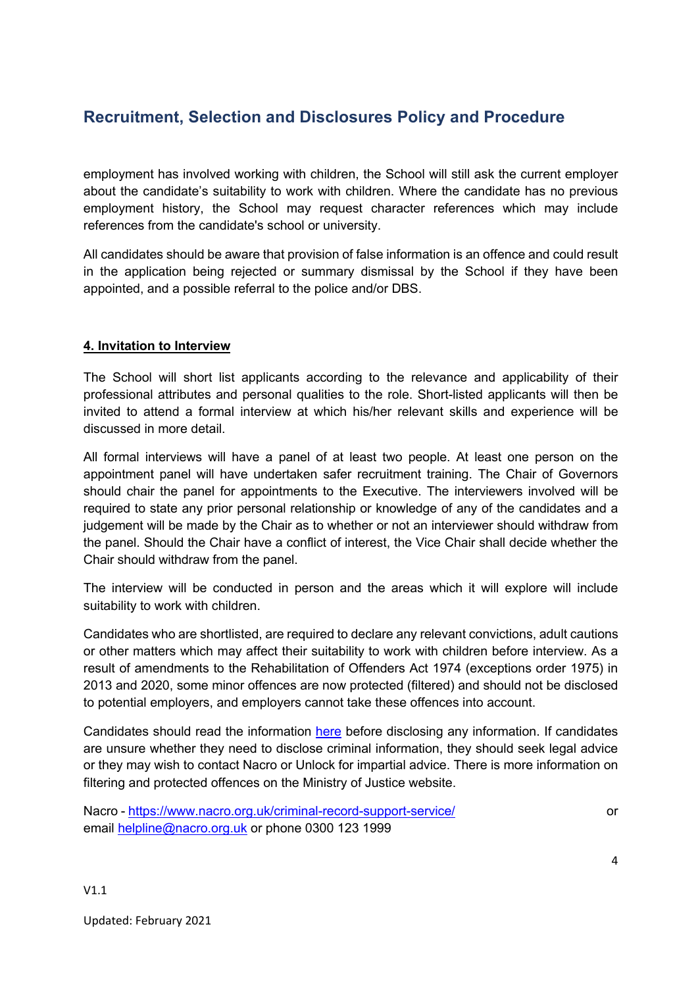employment has involved working with children, the School will still ask the current employer about the candidate's suitability to work with children. Where the candidate has no previous employment history, the School may request character references which may include references from the candidate's school or university.

All candidates should be aware that provision of false information is an offence and could result in the application being rejected or summary dismissal by the School if they have been appointed, and a possible referral to the police and/or DBS.

### **4. Invitation to Interview**

The School will short list applicants according to the relevance and applicability of their professional attributes and personal qualities to the role. Short-listed applicants will then be invited to attend a formal interview at which his/her relevant skills and experience will be discussed in more detail.

All formal interviews will have a panel of at least two people. At least one person on the appointment panel will have undertaken safer recruitment training. The Chair of Governors should chair the panel for appointments to the Executive. The interviewers involved will be required to state any prior personal relationship or knowledge of any of the candidates and a judgement will be made by the Chair as to whether or not an interviewer should withdraw from the panel. Should the Chair have a conflict of interest, the Vice Chair shall decide whether the Chair should withdraw from the panel.

The interview will be conducted in person and the areas which it will explore will include suitability to work with children.

Candidates who are shortlisted, are required to declare any relevant convictions, adult cautions or other matters which may affect their suitability to work with children before interview. As a result of amendments to the Rehabilitation of Offenders Act 1974 (exceptions order 1975) in 2013 and 2020, some minor offences are now protected (filtered) and should not be disclosed to potential employers, and employers cannot take these offences into account.

Candidates should read the information here before disclosing any information. If candidates are unsure whether they need to disclose criminal information, they should seek legal advice or they may wish to contact Nacro or Unlock for impartial advice. There is more information on filtering and protected offences on the Ministry of Justice website.

Nacro - https://www.nacro.org.uk/criminal-record-support-service/ or email helpline@nacro.org.uk or phone 0300 123 1999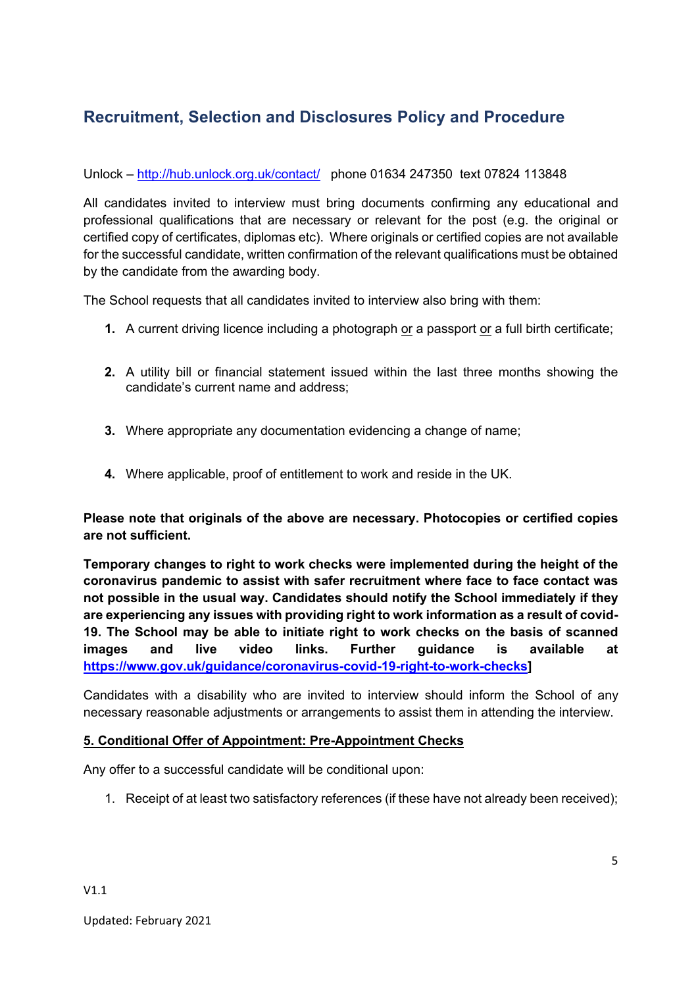### Unlock – http://hub.unlock.org.uk/contact/ phone 01634 247350 text 07824 113848

All candidates invited to interview must bring documents confirming any educational and professional qualifications that are necessary or relevant for the post (e.g. the original or certified copy of certificates, diplomas etc). Where originals or certified copies are not available for the successful candidate, written confirmation of the relevant qualifications must be obtained by the candidate from the awarding body.

The School requests that all candidates invited to interview also bring with them:

- **1.** A current driving licence including a photograph or a passport or a full birth certificate;
- **2.** A utility bill or financial statement issued within the last three months showing the candidate's current name and address;
- **3.** Where appropriate any documentation evidencing a change of name;
- **4.** Where applicable, proof of entitlement to work and reside in the UK.

**Please note that originals of the above are necessary. Photocopies or certified copies are not sufficient.** 

**Temporary changes to right to work checks were implemented during the height of the coronavirus pandemic to assist with safer recruitment where face to face contact was not possible in the usual way. Candidates should notify the School immediately if they are experiencing any issues with providing right to work information as a result of covid-19. The School may be able to initiate right to work checks on the basis of scanned images and live video links. Further guidance is available at https://www.gov.uk/guidance/coronavirus-covid-19-right-to-work-checks]**

Candidates with a disability who are invited to interview should inform the School of any necessary reasonable adjustments or arrangements to assist them in attending the interview.

#### **5. Conditional Offer of Appointment: Pre-Appointment Checks**

Any offer to a successful candidate will be conditional upon:

1. Receipt of at least two satisfactory references (if these have not already been received);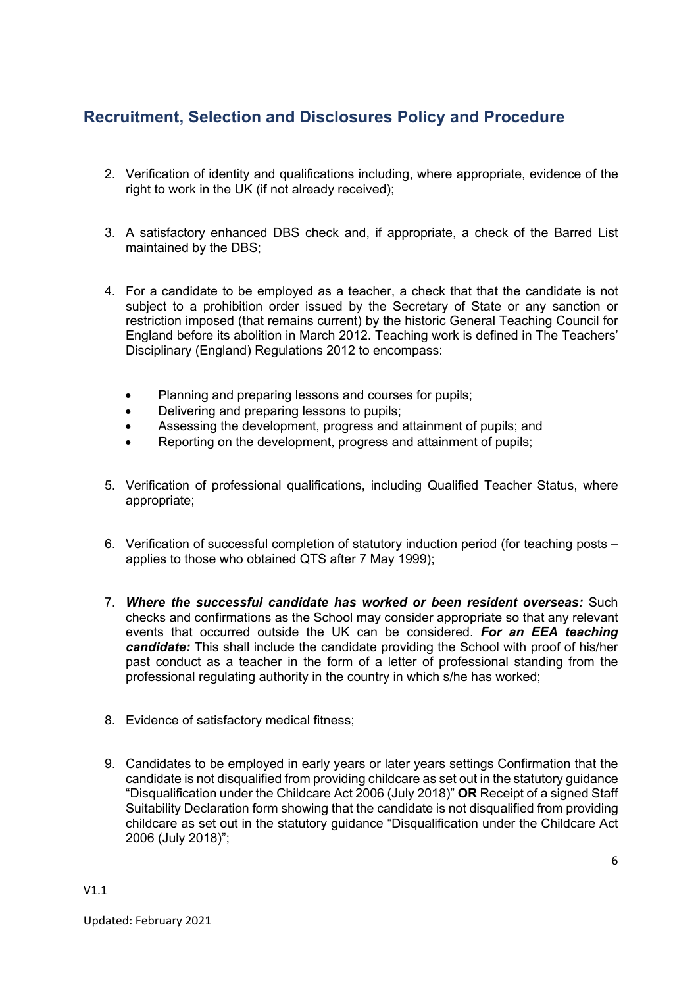- 2. Verification of identity and qualifications including, where appropriate, evidence of the right to work in the UK (if not already received);
- 3. A satisfactory enhanced DBS check and, if appropriate, a check of the Barred List maintained by the DBS;
- 4. For a candidate to be employed as a teacher, a check that that the candidate is not subject to a prohibition order issued by the Secretary of State or any sanction or restriction imposed (that remains current) by the historic General Teaching Council for England before its abolition in March 2012. Teaching work is defined in The Teachers' Disciplinary (England) Regulations 2012 to encompass:
	- Planning and preparing lessons and courses for pupils;
	- Delivering and preparing lessons to pupils;
	- Assessing the development, progress and attainment of pupils; and
	- Reporting on the development, progress and attainment of pupils;
- 5. Verification of professional qualifications, including Qualified Teacher Status, where appropriate;
- 6. Verification of successful completion of statutory induction period (for teaching posts applies to those who obtained QTS after 7 May 1999);
- 7. *Where the successful candidate has worked or been resident overseas:* Such checks and confirmations as the School may consider appropriate so that any relevant events that occurred outside the UK can be considered. *For an EEA teaching candidate:* This shall include the candidate providing the School with proof of his/her past conduct as a teacher in the form of a letter of professional standing from the professional regulating authority in the country in which s/he has worked;
- 8. Evidence of satisfactory medical fitness;
- 9. Candidates to be employed in early years or later years settings Confirmation that the candidate is not disqualified from providing childcare as set out in the statutory guidance "Disqualification under the Childcare Act 2006 (July 2018)" **OR** Receipt of a signed Staff Suitability Declaration form showing that the candidate is not disqualified from providing childcare as set out in the statutory guidance "Disqualification under the Childcare Act 2006 (July 2018)";

V1.1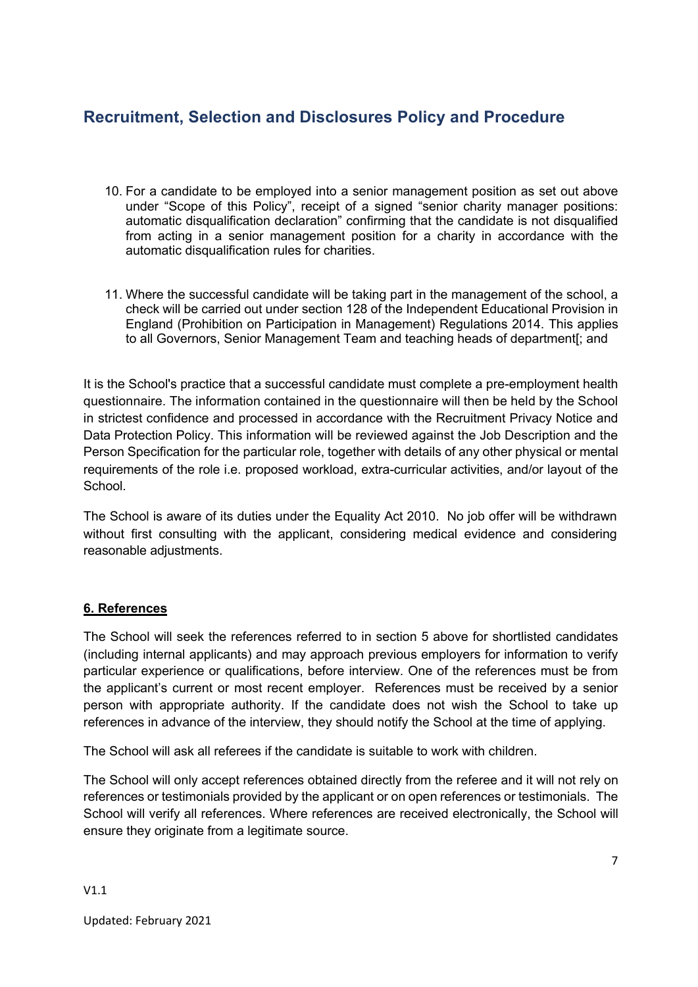- 10. For a candidate to be employed into a senior management position as set out above under "Scope of this Policy", receipt of a signed "senior charity manager positions: automatic disqualification declaration" confirming that the candidate is not disqualified from acting in a senior management position for a charity in accordance with the automatic disqualification rules for charities.
- 11. Where the successful candidate will be taking part in the management of the school, a check will be carried out under section 128 of the Independent Educational Provision in England (Prohibition on Participation in Management) Regulations 2014. This applies to all Governors, Senior Management Team and teaching heads of department[; and

It is the School's practice that a successful candidate must complete a pre-employment health questionnaire. The information contained in the questionnaire will then be held by the School in strictest confidence and processed in accordance with the Recruitment Privacy Notice and Data Protection Policy. This information will be reviewed against the Job Description and the Person Specification for the particular role, together with details of any other physical or mental requirements of the role i.e. proposed workload, extra-curricular activities, and/or layout of the School.

The School is aware of its duties under the Equality Act 2010. No job offer will be withdrawn without first consulting with the applicant, considering medical evidence and considering reasonable adjustments.

### **6. References**

The School will seek the references referred to in section 5 above for shortlisted candidates (including internal applicants) and may approach previous employers for information to verify particular experience or qualifications, before interview. One of the references must be from the applicant's current or most recent employer. References must be received by a senior person with appropriate authority. If the candidate does not wish the School to take up references in advance of the interview, they should notify the School at the time of applying.

The School will ask all referees if the candidate is suitable to work with children.

The School will only accept references obtained directly from the referee and it will not rely on references or testimonials provided by the applicant or on open references or testimonials. The School will verify all references. Where references are received electronically, the School will ensure they originate from a legitimate source.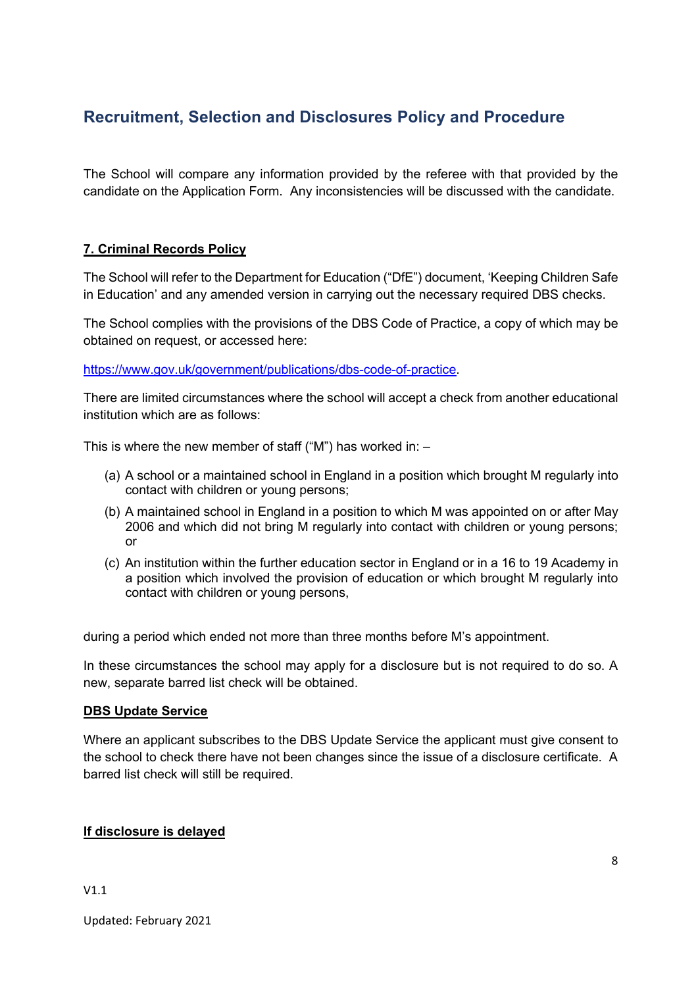The School will compare any information provided by the referee with that provided by the candidate on the Application Form. Any inconsistencies will be discussed with the candidate.

### **7. Criminal Records Policy**

The School will refer to the Department for Education ("DfE") document, 'Keeping Children Safe in Education' and any amended version in carrying out the necessary required DBS checks.

The School complies with the provisions of the DBS Code of Practice, a copy of which may be obtained on request, or accessed here:

https://www.gov.uk/government/publications/dbs-code-of-practice.

There are limited circumstances where the school will accept a check from another educational institution which are as follows:

This is where the new member of staff ("M") has worked in:  $-$ 

- (a) A school or a maintained school in England in a position which brought M regularly into contact with children or young persons;
- (b) A maintained school in England in a position to which M was appointed on or after May 2006 and which did not bring M regularly into contact with children or young persons; or
- (c) An institution within the further education sector in England or in a 16 to 19 Academy in a position which involved the provision of education or which brought M regularly into contact with children or young persons,

during a period which ended not more than three months before M's appointment.

In these circumstances the school may apply for a disclosure but is not required to do so. A new, separate barred list check will be obtained.

#### **DBS Update Service**

Where an applicant subscribes to the DBS Update Service the applicant must give consent to the school to check there have not been changes since the issue of a disclosure certificate. A barred list check will still be required.

#### **If disclosure is delayed**

V1.1

Updated: February 2021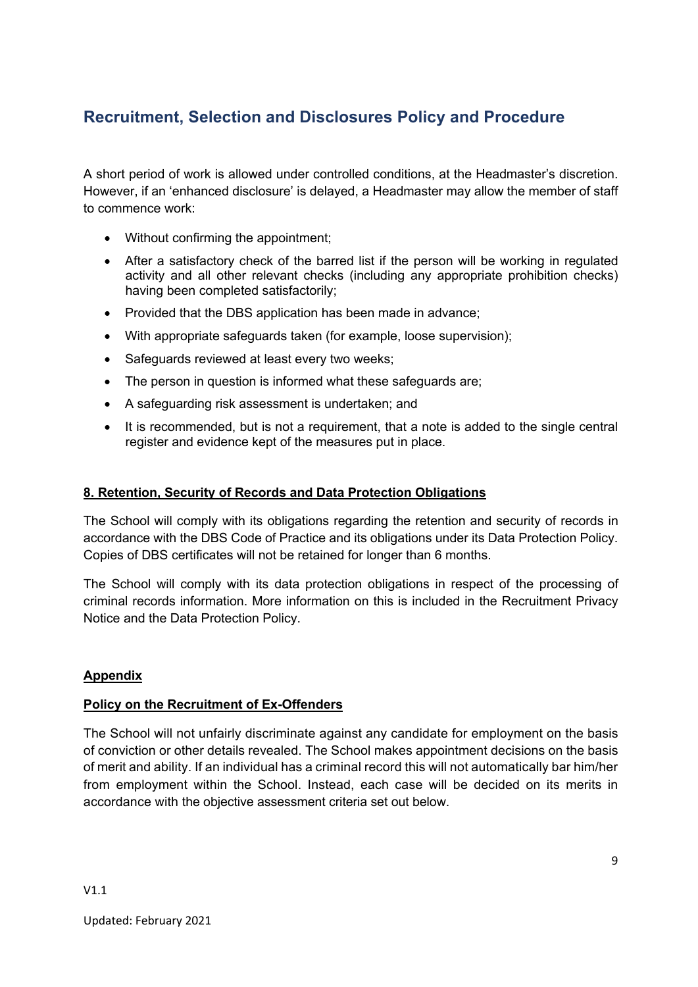A short period of work is allowed under controlled conditions, at the Headmaster's discretion. However, if an 'enhanced disclosure' is delayed, a Headmaster may allow the member of staff to commence work:

- Without confirming the appointment;
- After a satisfactory check of the barred list if the person will be working in regulated activity and all other relevant checks (including any appropriate prohibition checks) having been completed satisfactorily;
- Provided that the DBS application has been made in advance;
- With appropriate safeguards taken (for example, loose supervision);
- Safeguards reviewed at least every two weeks:
- The person in question is informed what these safeguards are;
- A safeguarding risk assessment is undertaken; and
- It is recommended, but is not a requirement, that a note is added to the single central register and evidence kept of the measures put in place.

#### **8. Retention, Security of Records and Data Protection Obligations**

The School will comply with its obligations regarding the retention and security of records in accordance with the DBS Code of Practice and its obligations under its Data Protection Policy. Copies of DBS certificates will not be retained for longer than 6 months.

The School will comply with its data protection obligations in respect of the processing of criminal records information. More information on this is included in the Recruitment Privacy Notice and the Data Protection Policy.

### **Appendix**

#### **Policy on the Recruitment of Ex-Offenders**

The School will not unfairly discriminate against any candidate for employment on the basis of conviction or other details revealed. The School makes appointment decisions on the basis of merit and ability. If an individual has a criminal record this will not automatically bar him/her from employment within the School. Instead, each case will be decided on its merits in accordance with the objective assessment criteria set out below.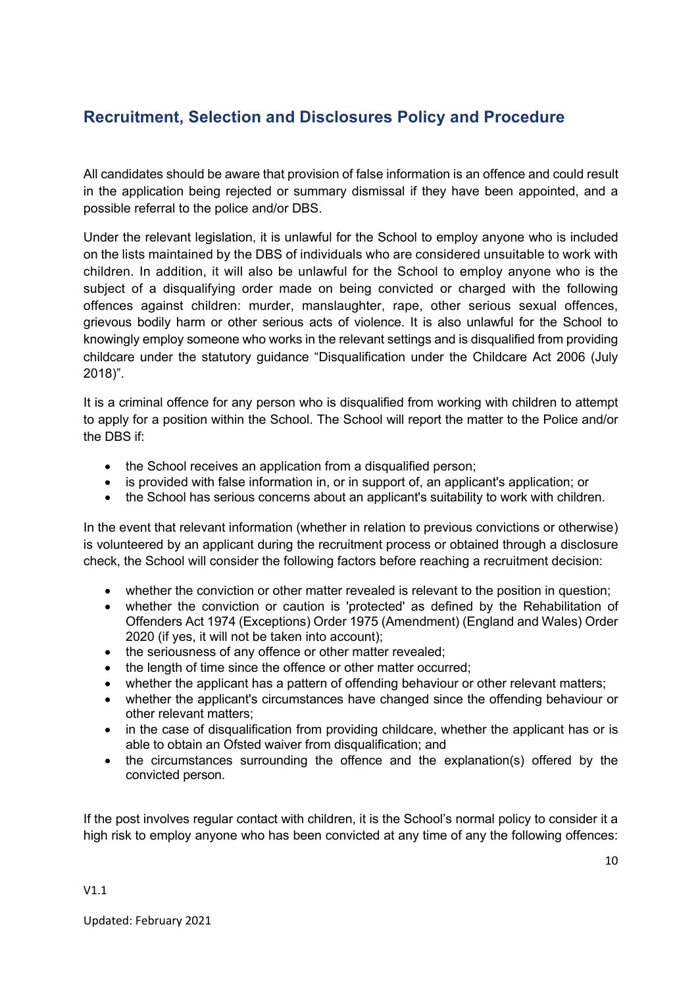All candidates should be aware that provision of false information is an offence and could result in the application being rejected or summary dismissal if they have been appointed, and a possible referral to the police and/or DBS.

Under the relevant legislation, it is unlawful for the School to employ anyone who is included on the lists maintained by the DBS of individuals who are considered unsuitable to work with children. In addition, it will also be unlawful for the School to employ anyone who is the subject of a disqualifying order made on being convicted or charged with the following offences against children: murder, manslaughter, rape, other serious sexual offences, grievous bodily harm or other serious acts of violence. It is also unlawful for the School to knowingly employ someone who works in the relevant settings and is disqualified from providing childcare under the statutory guidance "Disqualification under the Childcare Act 2006 (July 2018)".

It is a criminal offence for any person who is disqualified from working with children to attempt to apply for a position within the School. The School will report the matter to the Police and/or the DBS if:

- the School receives an application from a disqualified person;
- is provided with false information in, or in support of, an applicant's application; or
- the School has serious concerns about an applicant's suitability to work with children.

In the event that relevant information (whether in relation to previous convictions or otherwise) is volunteered by an applicant during the recruitment process or obtained through a disclosure check, the School will consider the following factors before reaching a recruitment decision:

- whether the conviction or other matter revealed is relevant to the position in question;
- whether the conviction or caution is 'protected' as defined by the Rehabilitation of Offenders Act 1974 (Exceptions) Order 1975 (Amendment) (England and Wales) Order 2020 (if yes, it will not be taken into account);
- the seriousness of any offence or other matter revealed;
- the length of time since the offence or other matter occurred;
- whether the applicant has a pattern of offending behaviour or other relevant matters;
- whether the applicant's circumstances have changed since the offending behaviour or other relevant matters;
- in the case of disqualification from providing childcare, whether the applicant has or is able to obtain an Ofsted waiver from disqualification; and
- the circumstances surrounding the offence and the explanation(s) offered by the convicted person.

If the post involves regular contact with children, it is the School's normal policy to consider it a high risk to employ anyone who has been convicted at any time of any the following offences:

V1.1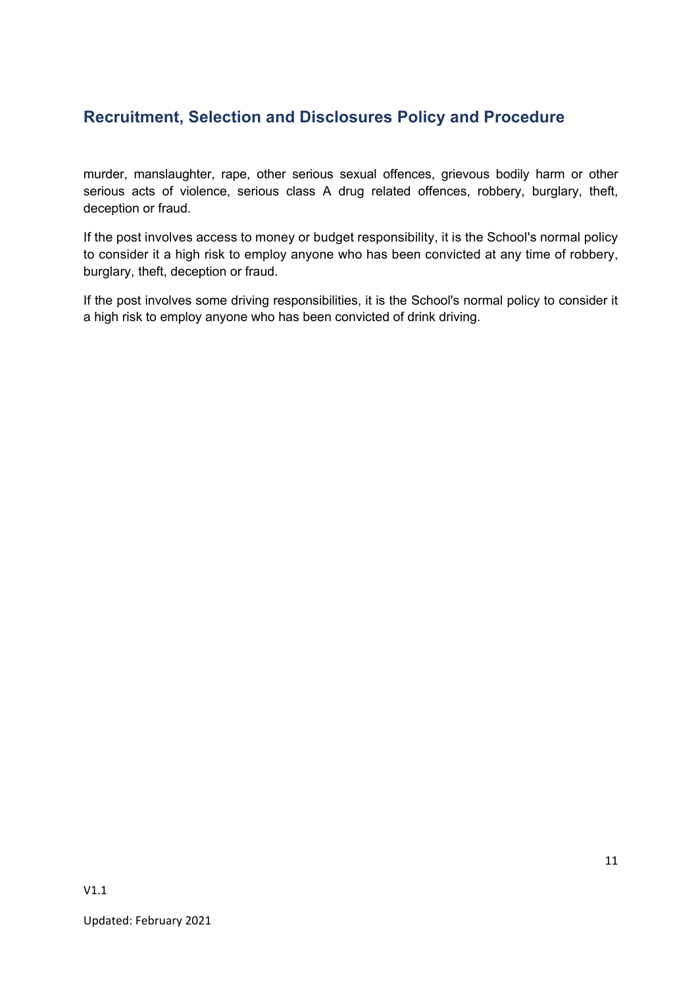murder, manslaughter, rape, other serious sexual offences, grievous bodily harm or other serious acts of violence, serious class A drug related offences, robbery, burglary, theft, deception or fraud.

If the post involves access to money or budget responsibility, it is the School's normal policy to consider it a high risk to employ anyone who has been convicted at any time of robbery, burglary, theft, deception or fraud.

If the post involves some driving responsibilities, it is the School's normal policy to consider it a high risk to employ anyone who has been convicted of drink driving.

V1.1